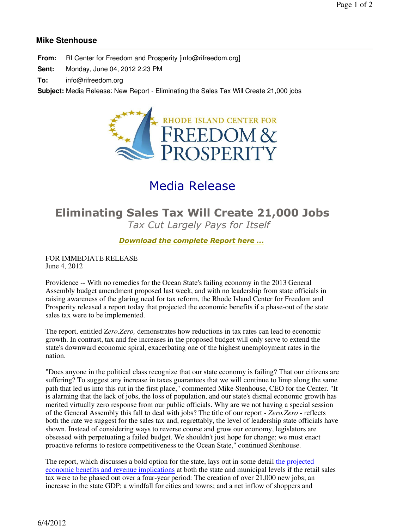## **Mike Stenhouse**

**From:** RI Center for Freedom and Prosperity [info@rifreedom.org]

**Sent:** Monday, June 04, 2012 2:23 PM

**To:** info@rifreedom.org

**Subject:** Media Release: New Report - Eliminating the Sales Tax Will Create 21,000 jobs



# Media Release

# **Eliminating Sales Tax Will Create 21,000 Jobs** *Tax Cut Largely Pays for Itself*

### *Download the complete Report here ...*

FOR IMMEDIATE RELEASE June 4, 2012

Providence -- With no remedies for the Ocean State's failing economy in the 2013 General Assembly budget amendment proposed last week, and with no leadership from state officials in raising awareness of the glaring need for tax reform, the Rhode Island Center for Freedom and Prosperity released a report today that projected the economic benefits if a phase-out of the state sales tax were to be implemented.

The report, entitled *Zero.Zero,* demonstrates how reductions in tax rates can lead to economic growth. In contrast, tax and fee increases in the proposed budget will only serve to extend the state's downward economic spiral, exacerbating one of the highest unemployment rates in the nation.

"Does anyone in the political class recognize that our state economy is failing? That our citizens are suffering? To suggest any increase in taxes guarantees that we will continue to limp along the same path that led us into this rut in the first place," commented Mike Stenhouse, CEO for the Center. "It is alarming that the lack of jobs, the loss of population, and our state's dismal economic growth has merited virtually zero response from our public officials. Why are we not having a special session of the General Assembly this fall to deal with jobs? The title of our report - *Zero.Zero* - reflects both the rate we suggest for the sales tax and, regrettably, the level of leadership state officials have shown. Instead of considering ways to reverse course and grow our economy, legislators are obsessed with perpetuating a failed budget. We shouldn't just hope for change; we must enact proactive reforms to restore competitiveness to the Ocean State," continued Stenhouse.

The report, which discusses a bold option for the state, lays out in some detail the projected economic benefits and revenue implications at both the state and municipal levels if the retail sales tax were to be phased out over a four-year period: The creation of over 21,000 new jobs; an increase in the state GDP; a windfall for cities and towns; and a net inflow of shoppers and